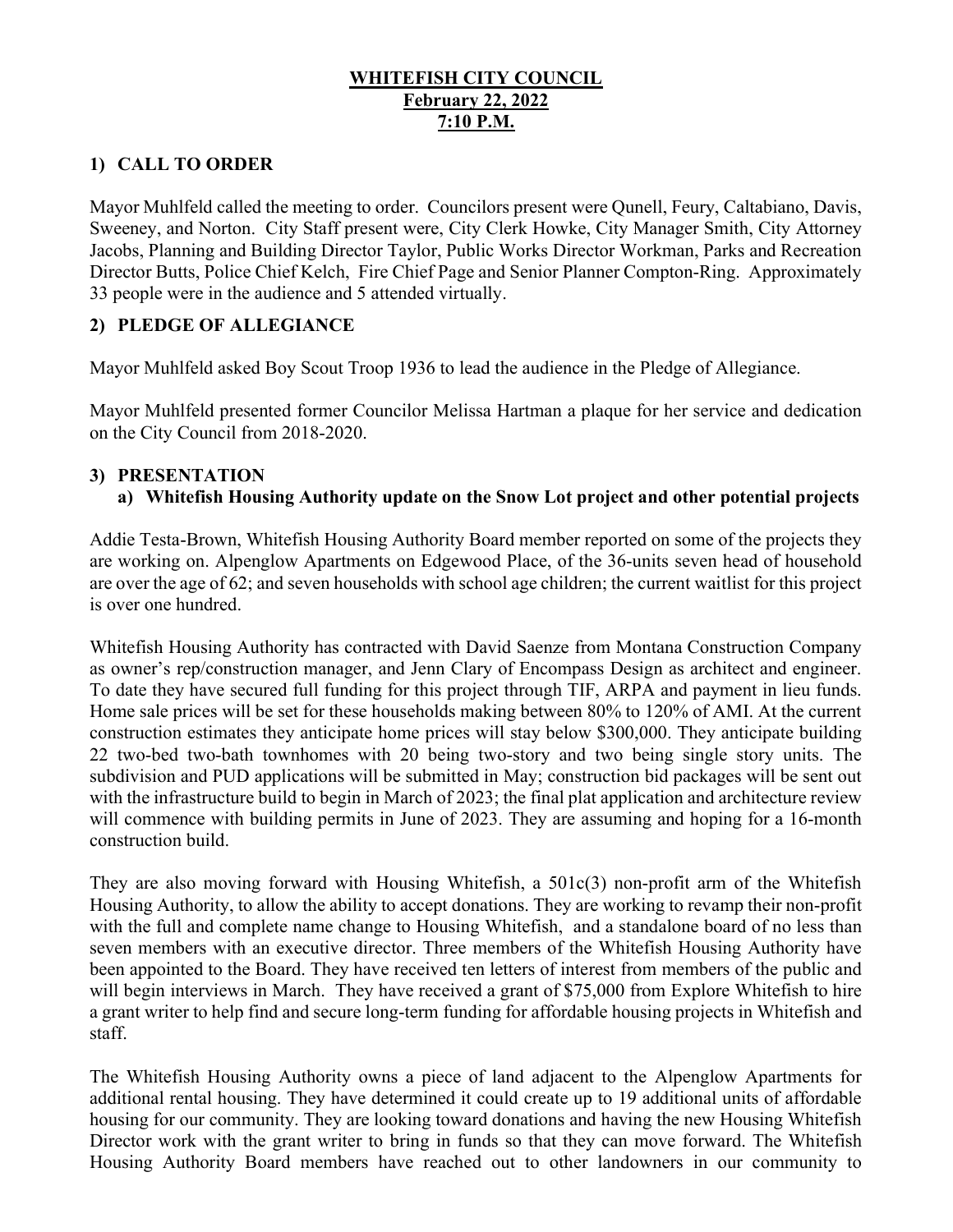# WHITEFISH CITY COUNCIL February 22, 2022 7:10 P.M.

# 1) CALL TO ORDER

Mayor Muhlfeld called the meeting to order. Councilors present were Qunell, Feury, Caltabiano, Davis, Sweeney, and Norton. City Staff present were, City Clerk Howke, City Manager Smith, City Attorney Jacobs, Planning and Building Director Taylor, Public Works Director Workman, Parks and Recreation Director Butts, Police Chief Kelch, Fire Chief Page and Senior Planner Compton-Ring. Approximately 33 people were in the audience and 5 attended virtually.

# 2) PLEDGE OF ALLEGIANCE

Mayor Muhlfeld asked Boy Scout Troop 1936 to lead the audience in the Pledge of Allegiance.

Mayor Muhlfeld presented former Councilor Melissa Hartman a plaque for her service and dedication on the City Council from 2018-2020.

### 3) PRESENTATION

# a) Whitefish Housing Authority update on the Snow Lot project and other potential projects

Addie Testa-Brown, Whitefish Housing Authority Board member reported on some of the projects they are working on. Alpenglow Apartments on Edgewood Place, of the 36-units seven head of household are over the age of 62; and seven households with school age children; the current waitlist for this project is over one hundred.

Whitefish Housing Authority has contracted with David Saenze from Montana Construction Company as owner's rep/construction manager, and Jenn Clary of Encompass Design as architect and engineer. To date they have secured full funding for this project through TIF, ARPA and payment in lieu funds. Home sale prices will be set for these households making between 80% to 120% of AMI. At the current construction estimates they anticipate home prices will stay below \$300,000. They anticipate building 22 two-bed two-bath townhomes with 20 being two-story and two being single story units. The subdivision and PUD applications will be submitted in May; construction bid packages will be sent out with the infrastructure build to begin in March of 2023; the final plat application and architecture review will commence with building permits in June of 2023. They are assuming and hoping for a 16-month construction build.

They are also moving forward with Housing Whitefish, a 501c(3) non-profit arm of the Whitefish Housing Authority, to allow the ability to accept donations. They are working to revamp their non-profit with the full and complete name change to Housing Whitefish, and a standalone board of no less than seven members with an executive director. Three members of the Whitefish Housing Authority have been appointed to the Board. They have received ten letters of interest from members of the public and will begin interviews in March. They have received a grant of \$75,000 from Explore Whitefish to hire a grant writer to help find and secure long-term funding for affordable housing projects in Whitefish and staff.

The Whitefish Housing Authority owns a piece of land adjacent to the Alpenglow Apartments for additional rental housing. They have determined it could create up to 19 additional units of affordable housing for our community. They are looking toward donations and having the new Housing Whitefish Director work with the grant writer to bring in funds so that they can move forward. The Whitefish Housing Authority Board members have reached out to other landowners in our community to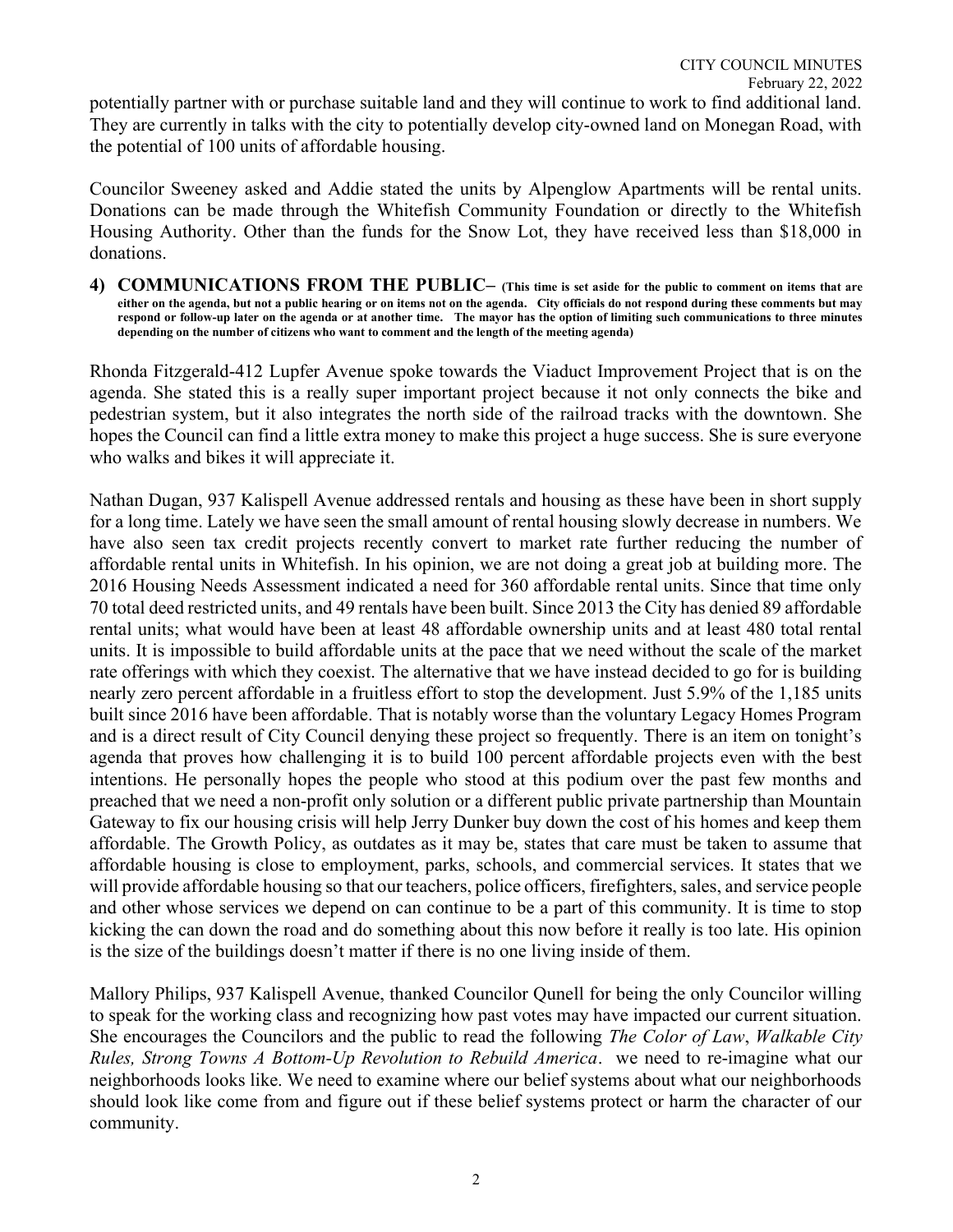Councilor Sweeney asked and Addie stated the units by Alpenglow Apartments will be rental units. Donations can be made through the Whitefish Community Foundation or directly to the Whitefish Housing Authority. Other than the funds for the Snow Lot, they have received less than \$18,000 in donations.

4) COMMUNICATIONS FROM THE PUBLIC– (This time is set aside for the public to comment on items that are either on the agenda, but not a public hearing or on items not on the agenda. City officials do not respond during these comments but may respond or follow-up later on the agenda or at another time. The mayor has the option of limiting such communications to three minutes depending on the number of citizens who want to comment and the length of the meeting agenda)

Rhonda Fitzgerald-412 Lupfer Avenue spoke towards the Viaduct Improvement Project that is on the agenda. She stated this is a really super important project because it not only connects the bike and pedestrian system, but it also integrates the north side of the railroad tracks with the downtown. She hopes the Council can find a little extra money to make this project a huge success. She is sure everyone who walks and bikes it will appreciate it.

Nathan Dugan, 937 Kalispell Avenue addressed rentals and housing as these have been in short supply for a long time. Lately we have seen the small amount of rental housing slowly decrease in numbers. We have also seen tax credit projects recently convert to market rate further reducing the number of affordable rental units in Whitefish. In his opinion, we are not doing a great job at building more. The 2016 Housing Needs Assessment indicated a need for 360 affordable rental units. Since that time only 70 total deed restricted units, and 49 rentals have been built. Since 2013 the City has denied 89 affordable rental units; what would have been at least 48 affordable ownership units and at least 480 total rental units. It is impossible to build affordable units at the pace that we need without the scale of the market rate offerings with which they coexist. The alternative that we have instead decided to go for is building nearly zero percent affordable in a fruitless effort to stop the development. Just 5.9% of the 1,185 units built since 2016 have been affordable. That is notably worse than the voluntary Legacy Homes Program and is a direct result of City Council denying these project so frequently. There is an item on tonight's agenda that proves how challenging it is to build 100 percent affordable projects even with the best intentions. He personally hopes the people who stood at this podium over the past few months and preached that we need a non-profit only solution or a different public private partnership than Mountain Gateway to fix our housing crisis will help Jerry Dunker buy down the cost of his homes and keep them affordable. The Growth Policy, as outdates as it may be, states that care must be taken to assume that affordable housing is close to employment, parks, schools, and commercial services. It states that we will provide affordable housing so that our teachers, police officers, firefighters, sales, and service people and other whose services we depend on can continue to be a part of this community. It is time to stop kicking the can down the road and do something about this now before it really is too late. His opinion is the size of the buildings doesn't matter if there is no one living inside of them.

Mallory Philips, 937 Kalispell Avenue, thanked Councilor Qunell for being the only Councilor willing to speak for the working class and recognizing how past votes may have impacted our current situation. She encourages the Councilors and the public to read the following The Color of Law, Walkable City Rules, Strong Towns A Bottom-Up Revolution to Rebuild America. we need to re-imagine what our neighborhoods looks like. We need to examine where our belief systems about what our neighborhoods should look like come from and figure out if these belief systems protect or harm the character of our community.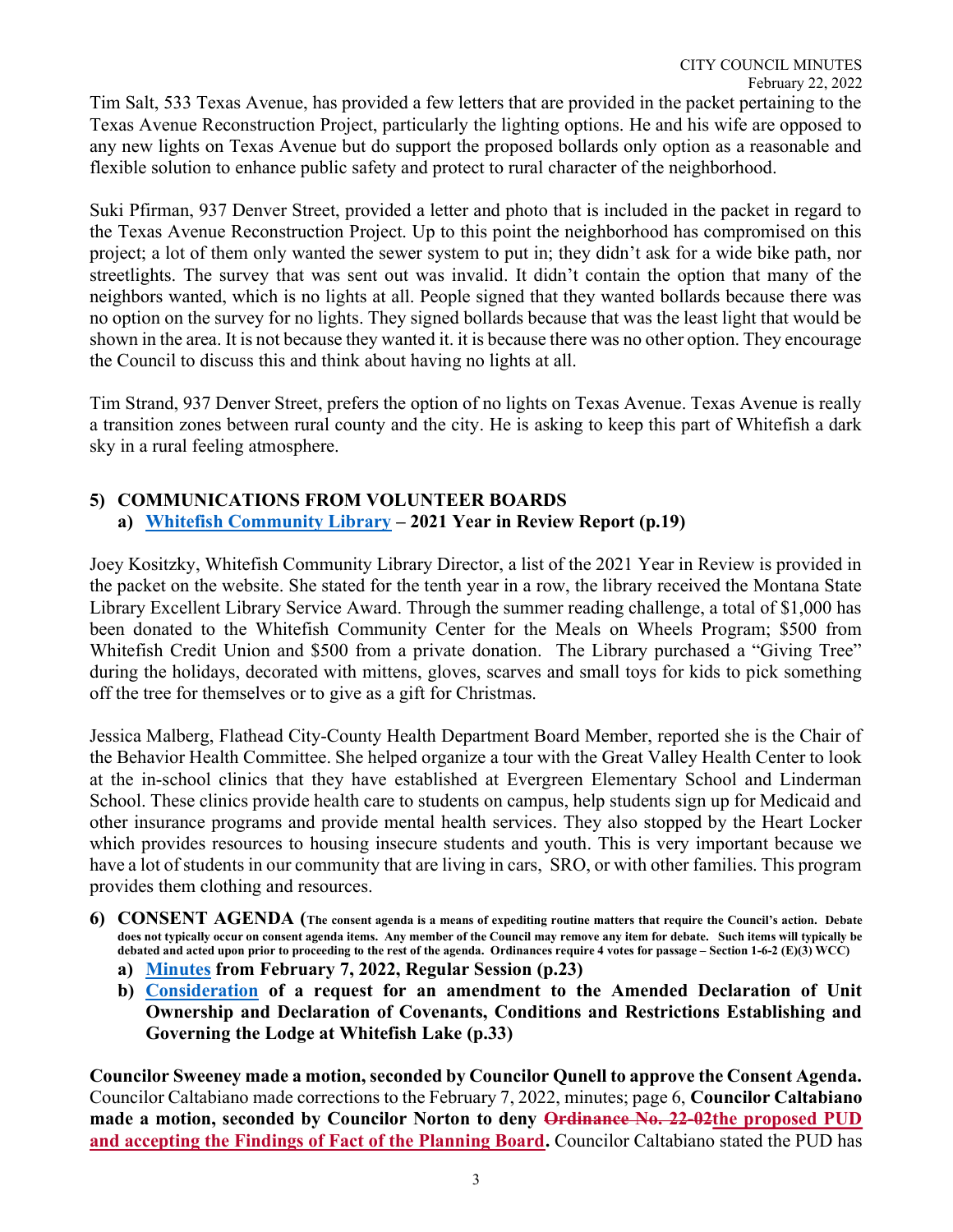Tim Salt, 533 Texas Avenue, has provided a few letters that are provided in the packet pertaining to the Texas Avenue Reconstruction Project, particularly the lighting options. He and his wife are opposed to any new lights on Texas Avenue but do support the proposed bollards only option as a reasonable and flexible solution to enhance public safety and protect to rural character of the neighborhood.

Suki Pfirman, 937 Denver Street, provided a letter and photo that is included in the packet in regard to the Texas Avenue Reconstruction Project. Up to this point the neighborhood has compromised on this project; a lot of them only wanted the sewer system to put in; they didn't ask for a wide bike path, nor streetlights. The survey that was sent out was invalid. It didn't contain the option that many of the neighbors wanted, which is no lights at all. People signed that they wanted bollards because there was no option on the survey for no lights. They signed bollards because that was the least light that would be shown in the area. It is not because they wanted it. it is because there was no other option. They encourage the Council to discuss this and think about having no lights at all.

Tim Strand, 937 Denver Street, prefers the option of no lights on Texas Avenue. Texas Avenue is really a transition zones between rural county and the city. He is asking to keep this part of Whitefish a dark sky in a rural feeling atmosphere.

# 5) COMMUNICATIONS FROM VOLUNTEER BOARDS a) Whitefish Community Library – 2021 Year in Review Report (p.19)

Joey Kositzky, Whitefish Community Library Director, a list of the 2021 Year in Review is provided in the packet on the website. She stated for the tenth year in a row, the library received the Montana State Library Excellent Library Service Award. Through the summer reading challenge, a total of \$1,000 has been donated to the Whitefish Community Center for the Meals on Wheels Program; \$500 from Whitefish Credit Union and \$500 from a private donation. The Library purchased a "Giving Tree" during the holidays, decorated with mittens, gloves, scarves and small toys for kids to pick something off the tree for themselves or to give as a gift for Christmas.

Jessica Malberg, Flathead City-County Health Department Board Member, reported she is the Chair of the Behavior Health Committee. She helped organize a tour with the Great Valley Health Center to look at the in-school clinics that they have established at Evergreen Elementary School and Linderman School. These clinics provide health care to students on campus, help students sign up for Medicaid and other insurance programs and provide mental health services. They also stopped by the Heart Locker which provides resources to housing insecure students and youth. This is very important because we have a lot of students in our community that are living in cars, SRO, or with other families. This program provides them clothing and resources.

- 6) CONSENT AGENDA (The consent agenda is a means of expediting routine matters that require the Council's action. Debate does not typically occur on consent agenda items. Any member of the Council may remove any item for debate. Such items will typically be debated and acted upon prior to proceeding to the rest of the agenda. Ordinances require 4 votes for passage – Section 1-6-2 (E)(3) WCC)
	- a) Minutes from February 7, 2022, Regular Session (p.23)
	- b) Consideration of a request for an amendment to the Amended Declaration of Unit Ownership and Declaration of Covenants, Conditions and Restrictions Establishing and Governing the Lodge at Whitefish Lake (p.33)

Councilor Sweeney made a motion, seconded by Councilor Qunell to approve the Consent Agenda. Councilor Caltabiano made corrections to the February 7, 2022, minutes; page 6, Councilor Caltabiano made a motion, seconded by Councilor Norton to deny Ordinance No. 22-02the proposed PUD and accepting the Findings of Fact of the Planning Board. Councilor Caltabiano stated the PUD has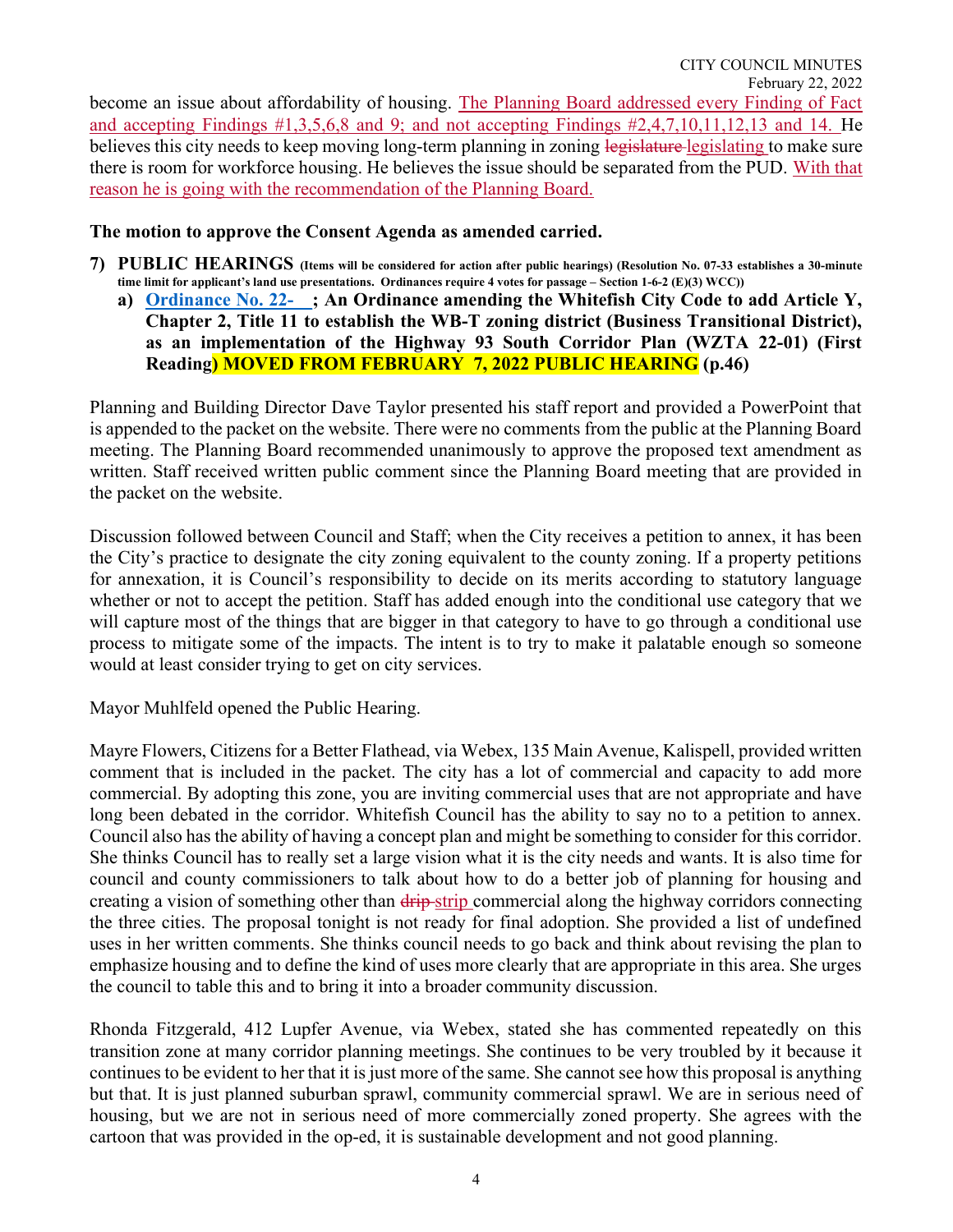become an issue about affordability of housing. The Planning Board addressed every Finding of Fact and accepting Findings #1,3,5,6,8 and 9; and not accepting Findings #2,4,7,10,11,12,13 and 14. He believes this city needs to keep moving long-term planning in zoning legislature legislating to make sure there is room for workforce housing. He believes the issue should be separated from the PUD. With that reason he is going with the recommendation of the Planning Board.

#### The motion to approve the Consent Agenda as amended carried.

- 7) PUBLIC HEARINGS (Items will be considered for action after public hearings) (Resolution No. 07-33 establishes a 30-minute time limit for applicant's land use presentations. Ordinances require 4 votes for passage – Section 1-6-2 (E)(3) WCC))
	- a) Ordinance No. 22- ; An Ordinance amending the Whitefish City Code to add Article Y, Chapter 2, Title 11 to establish the WB-T zoning district (Business Transitional District), as an implementation of the Highway 93 South Corridor Plan (WZTA 22-01) (First Reading) MOVED FROM FEBRUARY 7, 2022 PUBLIC HEARING (p.46)

Planning and Building Director Dave Taylor presented his staff report and provided a PowerPoint that is appended to the packet on the website. There were no comments from the public at the Planning Board meeting. The Planning Board recommended unanimously to approve the proposed text amendment as written. Staff received written public comment since the Planning Board meeting that are provided in the packet on the website.

Discussion followed between Council and Staff; when the City receives a petition to annex, it has been the City's practice to designate the city zoning equivalent to the county zoning. If a property petitions for annexation, it is Council's responsibility to decide on its merits according to statutory language whether or not to accept the petition. Staff has added enough into the conditional use category that we will capture most of the things that are bigger in that category to have to go through a conditional use process to mitigate some of the impacts. The intent is to try to make it palatable enough so someone would at least consider trying to get on city services.

Mayor Muhlfeld opened the Public Hearing.

Mayre Flowers, Citizens for a Better Flathead, via Webex, 135 Main Avenue, Kalispell, provided written comment that is included in the packet. The city has a lot of commercial and capacity to add more commercial. By adopting this zone, you are inviting commercial uses that are not appropriate and have long been debated in the corridor. Whitefish Council has the ability to say no to a petition to annex. Council also has the ability of having a concept plan and might be something to consider for this corridor. She thinks Council has to really set a large vision what it is the city needs and wants. It is also time for council and county commissioners to talk about how to do a better job of planning for housing and creating a vision of something other than drip-strip commercial along the highway corridors connecting the three cities. The proposal tonight is not ready for final adoption. She provided a list of undefined uses in her written comments. She thinks council needs to go back and think about revising the plan to emphasize housing and to define the kind of uses more clearly that are appropriate in this area. She urges the council to table this and to bring it into a broader community discussion.

Rhonda Fitzgerald, 412 Lupfer Avenue, via Webex, stated she has commented repeatedly on this transition zone at many corridor planning meetings. She continues to be very troubled by it because it continues to be evident to her that it is just more of the same. She cannot see how this proposal is anything but that. It is just planned suburban sprawl, community commercial sprawl. We are in serious need of housing, but we are not in serious need of more commercially zoned property. She agrees with the cartoon that was provided in the op-ed, it is sustainable development and not good planning.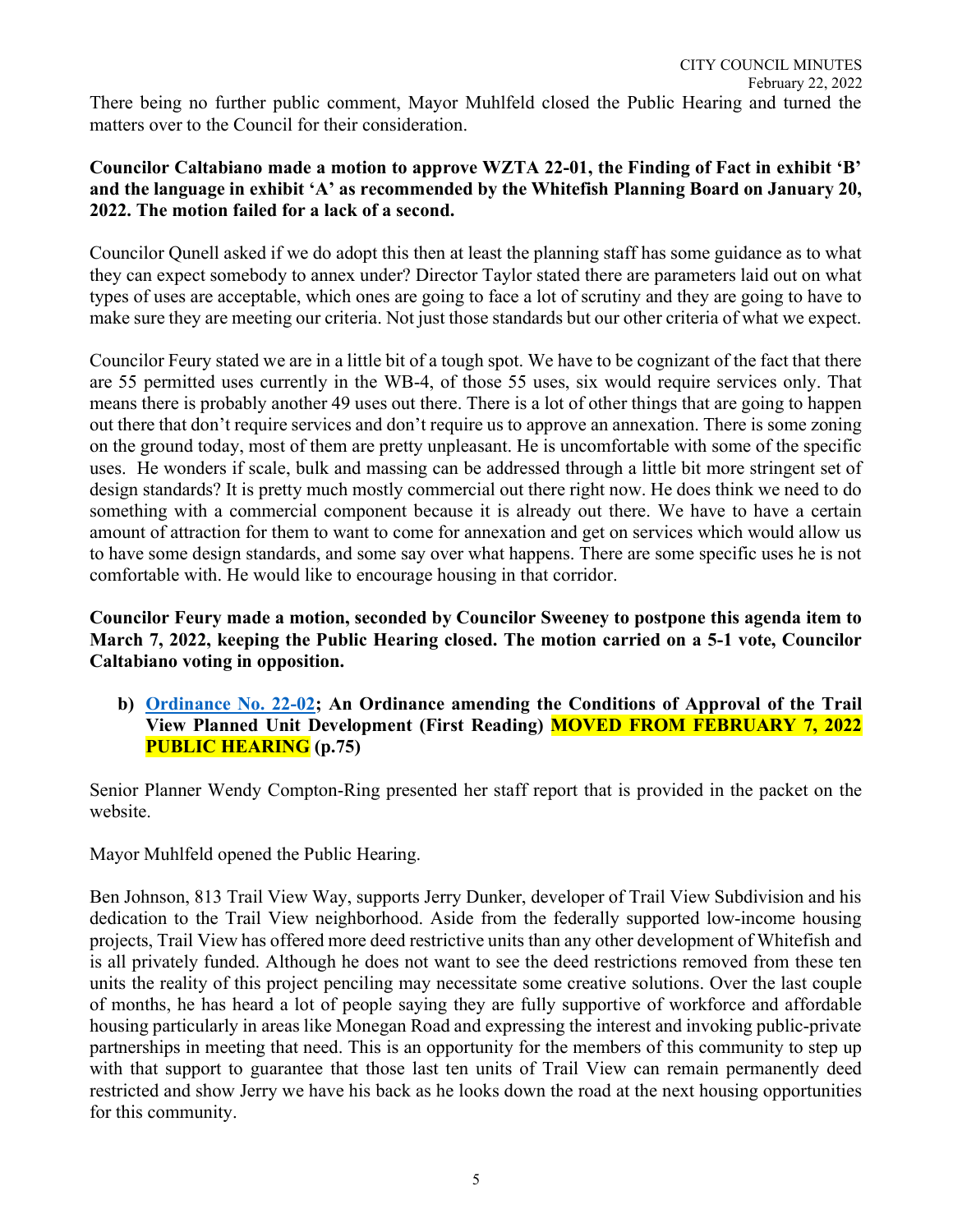There being no further public comment, Mayor Muhlfeld closed the Public Hearing and turned the matters over to the Council for their consideration.

### Councilor Caltabiano made a motion to approve WZTA 22-01, the Finding of Fact in exhibit 'B' and the language in exhibit 'A' as recommended by the Whitefish Planning Board on January 20, 2022. The motion failed for a lack of a second.

Councilor Qunell asked if we do adopt this then at least the planning staff has some guidance as to what they can expect somebody to annex under? Director Taylor stated there are parameters laid out on what types of uses are acceptable, which ones are going to face a lot of scrutiny and they are going to have to make sure they are meeting our criteria. Not just those standards but our other criteria of what we expect.

Councilor Feury stated we are in a little bit of a tough spot. We have to be cognizant of the fact that there are 55 permitted uses currently in the WB-4, of those 55 uses, six would require services only. That means there is probably another 49 uses out there. There is a lot of other things that are going to happen out there that don't require services and don't require us to approve an annexation. There is some zoning on the ground today, most of them are pretty unpleasant. He is uncomfortable with some of the specific uses. He wonders if scale, bulk and massing can be addressed through a little bit more stringent set of design standards? It is pretty much mostly commercial out there right now. He does think we need to do something with a commercial component because it is already out there. We have to have a certain amount of attraction for them to want to come for annexation and get on services which would allow us to have some design standards, and some say over what happens. There are some specific uses he is not comfortable with. He would like to encourage housing in that corridor.

Councilor Feury made a motion, seconded by Councilor Sweeney to postpone this agenda item to March 7, 2022, keeping the Public Hearing closed. The motion carried on a 5-1 vote, Councilor Caltabiano voting in opposition.

b) Ordinance No. 22-02; An Ordinance amending the Conditions of Approval of the Trail View Planned Unit Development (First Reading) **MOVED FROM FEBRUARY 7, 2022** PUBLIC HEARING (p.75)

Senior Planner Wendy Compton-Ring presented her staff report that is provided in the packet on the website.

Mayor Muhlfeld opened the Public Hearing.

Ben Johnson, 813 Trail View Way, supports Jerry Dunker, developer of Trail View Subdivision and his dedication to the Trail View neighborhood. Aside from the federally supported low-income housing projects, Trail View has offered more deed restrictive units than any other development of Whitefish and is all privately funded. Although he does not want to see the deed restrictions removed from these ten units the reality of this project penciling may necessitate some creative solutions. Over the last couple of months, he has heard a lot of people saying they are fully supportive of workforce and affordable housing particularly in areas like Monegan Road and expressing the interest and invoking public-private partnerships in meeting that need. This is an opportunity for the members of this community to step up with that support to guarantee that those last ten units of Trail View can remain permanently deed restricted and show Jerry we have his back as he looks down the road at the next housing opportunities for this community.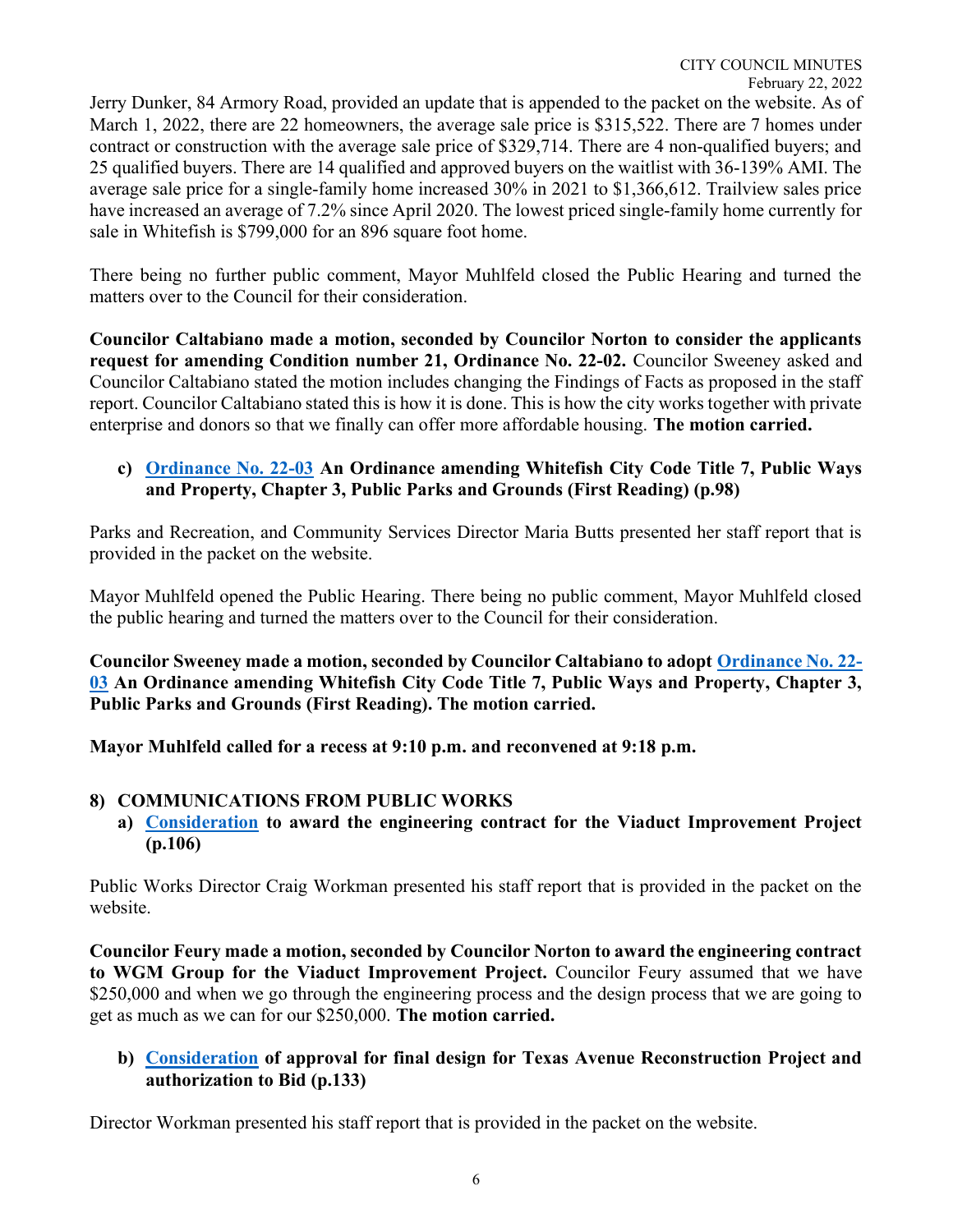Jerry Dunker, 84 Armory Road, provided an update that is appended to the packet on the website. As of March 1, 2022, there are 22 homeowners, the average sale price is \$315,522. There are 7 homes under contract or construction with the average sale price of \$329,714. There are 4 non-qualified buyers; and 25 qualified buyers. There are 14 qualified and approved buyers on the waitlist with 36-139% AMI. The average sale price for a single-family home increased 30% in 2021 to \$1,366,612. Trailview sales price have increased an average of 7.2% since April 2020. The lowest priced single-family home currently for sale in Whitefish is \$799,000 for an 896 square foot home.

There being no further public comment, Mayor Muhlfeld closed the Public Hearing and turned the matters over to the Council for their consideration.

Councilor Caltabiano made a motion, seconded by Councilor Norton to consider the applicants request for amending Condition number 21, Ordinance No. 22-02. Councilor Sweeney asked and Councilor Caltabiano stated the motion includes changing the Findings of Facts as proposed in the staff report. Councilor Caltabiano stated this is how it is done. This is how the city works together with private enterprise and donors so that we finally can offer more affordable housing. The motion carried.

# c) Ordinance No. 22-03 An Ordinance amending Whitefish City Code Title 7, Public Ways and Property, Chapter 3, Public Parks and Grounds (First Reading) (p.98)

Parks and Recreation, and Community Services Director Maria Butts presented her staff report that is provided in the packet on the website.

Mayor Muhlfeld opened the Public Hearing. There being no public comment, Mayor Muhlfeld closed the public hearing and turned the matters over to the Council for their consideration.

Councilor Sweeney made a motion, seconded by Councilor Caltabiano to adopt Ordinance No. 22- 03 An Ordinance amending Whitefish City Code Title 7, Public Ways and Property, Chapter 3, Public Parks and Grounds (First Reading). The motion carried.

Mayor Muhlfeld called for a recess at 9:10 p.m. and reconvened at 9:18 p.m.

# 8) COMMUNICATIONS FROM PUBLIC WORKS

a) Consideration to award the engineering contract for the Viaduct Improvement Project (p.106)

Public Works Director Craig Workman presented his staff report that is provided in the packet on the website.

Councilor Feury made a motion, seconded by Councilor Norton to award the engineering contract to WGM Group for the Viaduct Improvement Project. Councilor Feury assumed that we have \$250,000 and when we go through the engineering process and the design process that we are going to get as much as we can for our \$250,000. The motion carried.

# b) Consideration of approval for final design for Texas Avenue Reconstruction Project and authorization to Bid (p.133)

Director Workman presented his staff report that is provided in the packet on the website.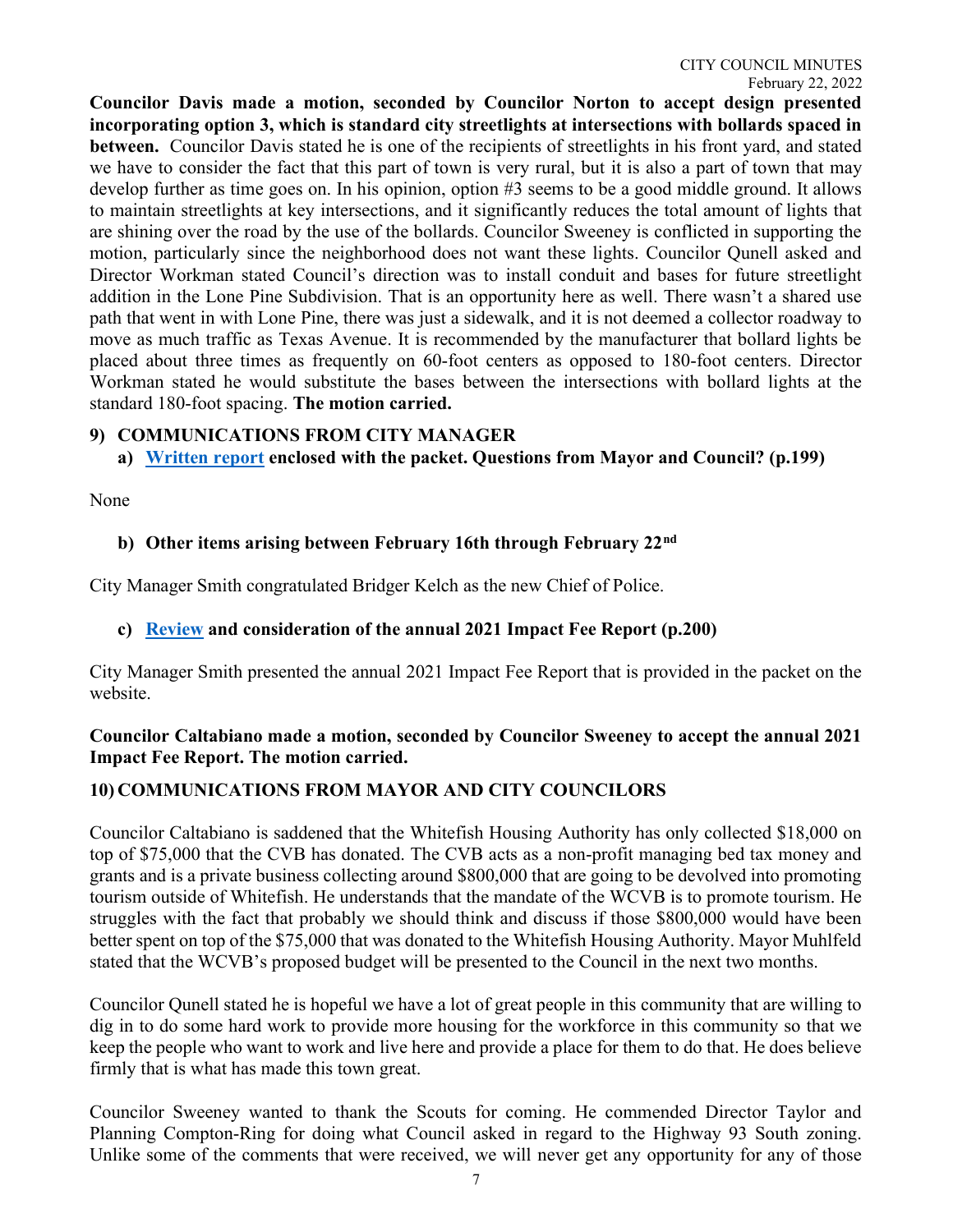Councilor Davis made a motion, seconded by Councilor Norton to accept design presented incorporating option 3, which is standard city streetlights at intersections with bollards spaced in between. Councilor Davis stated he is one of the recipients of streetlights in his front yard, and stated we have to consider the fact that this part of town is very rural, but it is also a part of town that may develop further as time goes on. In his opinion, option #3 seems to be a good middle ground. It allows to maintain streetlights at key intersections, and it significantly reduces the total amount of lights that are shining over the road by the use of the bollards. Councilor Sweeney is conflicted in supporting the motion, particularly since the neighborhood does not want these lights. Councilor Qunell asked and Director Workman stated Council's direction was to install conduit and bases for future streetlight addition in the Lone Pine Subdivision. That is an opportunity here as well. There wasn't a shared use path that went in with Lone Pine, there was just a sidewalk, and it is not deemed a collector roadway to move as much traffic as Texas Avenue. It is recommended by the manufacturer that bollard lights be placed about three times as frequently on 60-foot centers as opposed to 180-foot centers. Director Workman stated he would substitute the bases between the intersections with bollard lights at the standard 180-foot spacing. The motion carried.

### 9) COMMUNICATIONS FROM CITY MANAGER

a) Written report enclosed with the packet. Questions from Mayor and Council? (p.199)

None

### b) Other items arising between February 16th through February 22<sup>nd</sup>

City Manager Smith congratulated Bridger Kelch as the new Chief of Police.

# c) Review and consideration of the annual 2021 Impact Fee Report (p.200)

City Manager Smith presented the annual 2021 Impact Fee Report that is provided in the packet on the website.

# Councilor Caltabiano made a motion, seconded by Councilor Sweeney to accept the annual 2021 Impact Fee Report. The motion carried.

# 10) COMMUNICATIONS FROM MAYOR AND CITY COUNCILORS

Councilor Caltabiano is saddened that the Whitefish Housing Authority has only collected \$18,000 on top of \$75,000 that the CVB has donated. The CVB acts as a non-profit managing bed tax money and grants and is a private business collecting around \$800,000 that are going to be devolved into promoting tourism outside of Whitefish. He understands that the mandate of the WCVB is to promote tourism. He struggles with the fact that probably we should think and discuss if those \$800,000 would have been better spent on top of the \$75,000 that was donated to the Whitefish Housing Authority. Mayor Muhlfeld stated that the WCVB's proposed budget will be presented to the Council in the next two months.

Councilor Qunell stated he is hopeful we have a lot of great people in this community that are willing to dig in to do some hard work to provide more housing for the workforce in this community so that we keep the people who want to work and live here and provide a place for them to do that. He does believe firmly that is what has made this town great.

Councilor Sweeney wanted to thank the Scouts for coming. He commended Director Taylor and Planning Compton-Ring for doing what Council asked in regard to the Highway 93 South zoning. Unlike some of the comments that were received, we will never get any opportunity for any of those